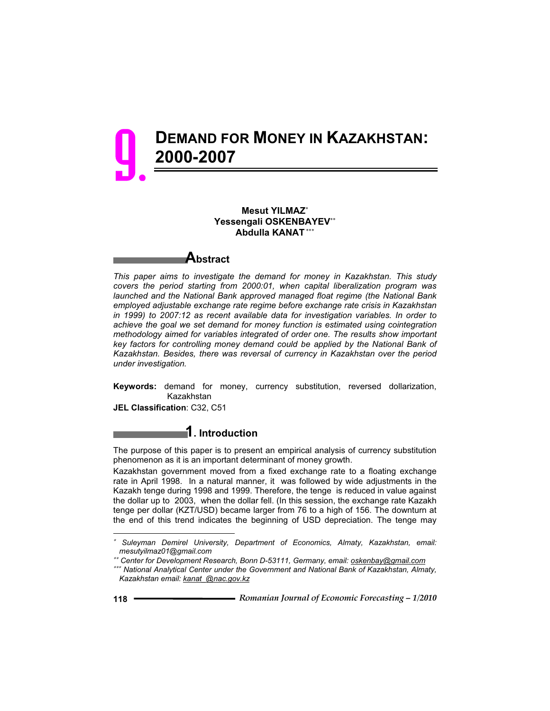

#### **Mesut YILMAZ Yessengali OSKENBAYEV Abdulla KANAT**

**Abstract** *This paper aims to investigate the demand for money in Kazakhstan. This study covers the period starting from 2000:01, when capital liberalization program was launched and the National Bank approved managed float regime (the National Bank employed adjustable exchange rate regime before exchange rate crisis in Kazakhstan in 1999) to 2007:12 as recent available data for investigation variables. In order to achieve the goal we set demand for money function is estimated using cointegration methodology aimed for variables integrated of order one. The results show important* 

key factors for controlling money demand could be applied by the National Bank of *Kazakhstan. Besides, there was reversal of currency in Kazakhstan over the period under investigation.* 

**Keywords:** demand for money, currency substitution, reversed dollarization, Kazakhstan

**JEL Classification**: C32, C51

## **1. Introduction**

The purpose of this paper is to present an empirical analysis of currency substitution phenomenon as it is an important determinant of money growth.

Kazakhstan government moved from a fixed exchange rate to a floating exchange rate in April 1998. In a natural manner, it was followed by wide adjustments in the Kazakh tenge during 1998 and 1999. Therefore, the tenge is reduced in value against the dollar up to 2003, when the dollar fell. (In this session, the exchange rate Kazakh tenge per dollar (KZT/USD) became larger from 76 to a high of 156. The downturn at the end of this trend indicates the beginning of USD depreciation. The tenge may

 $\overline{a}$ 

 *Suleyman Demirel University, Department of Economics, Almaty, Kazakhstan, email: mesutyilmaz01@gmail.com* 

 *Center for Development Research, Bonn D-53111, Germany, email: oskenbay@gmail.com*

 *National Analytical Center under the Government and National Bank of Kazakhstan, Almaty, Kazakhstan email: kanat\_@nac.gov.kz*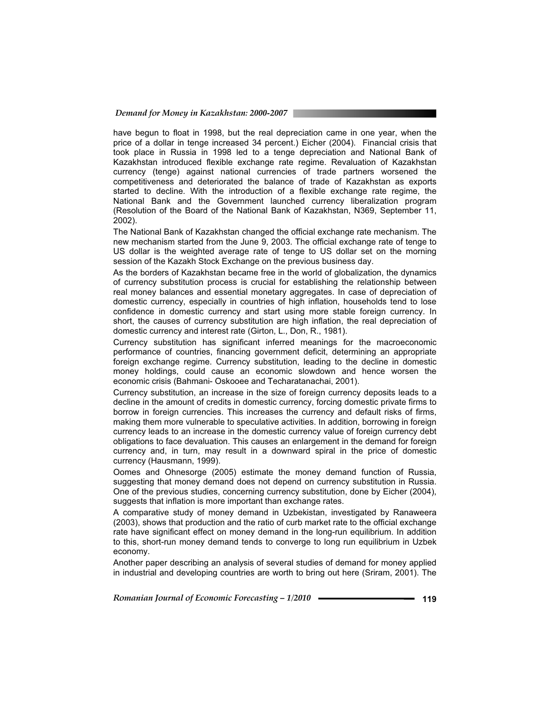have begun to float in 1998, but the real depreciation came in one year, when the price of a dollar in tenge increased 34 percent.) Eicher (2004). Financial crisis that took place in Russia in 1998 led to a tenge depreciation and National Bank of Kazakhstan introduced flexible exchange rate regime. Revaluation of Kazakhstan currency (tenge) against national currencies of trade partners worsened the competitiveness and deteriorated the balance of trade of Kazakhstan as exports started to decline. With the introduction of a flexible exchange rate regime, the National Bank and the Government launched currency liberalization program (Resolution of the Board of the National Bank of Kazakhstan, N369, September 11, 2002).

The National Bank of Kazakhstan changed the official exchange rate mechanism. The new mechanism started from the June 9, 2003. The official exchange rate of tenge to US dollar is the weighted average rate of tenge to US dollar set on the morning session of the Kazakh Stock Exchange on the previous business day.

As the borders of Kazakhstan became free in the world of globalization, the dynamics of currency substitution process is crucial for establishing the relationship between real money balances and essential monetary aggregates. In case of depreciation of domestic currency, especially in countries of high inflation, households tend to lose confidence in domestic currency and start using more stable foreign currency. In short, the causes of currency substitution are high inflation, the real depreciation of domestic currency and interest rate (Girton, L., Don, R., 1981).

Currency substitution has significant inferred meanings for the macroeconomic performance of countries, financing government deficit, determining an appropriate foreign exchange regime. Currency substitution, leading to the decline in domestic money holdings, could cause an economic slowdown and hence worsen the economic crisis (Bahmani- Oskooee and Techaratanachai, 2001).

Currency substitution, an increase in the size of foreign currency deposits leads to a decline in the amount of credits in domestic currency, forcing domestic private firms to borrow in foreign currencies. This increases the currency and default risks of firms, making them more vulnerable to speculative activities. In addition, borrowing in foreign currency leads to an increase in the domestic currency value of foreign currency debt obligations to face devaluation. This causes an enlargement in the demand for foreign currency and, in turn, may result in a downward spiral in the price of domestic currency (Hausmann, 1999).

Oomes and Ohnesorge (2005) estimate the money demand function of Russia, suggesting that money demand does not depend on currency substitution in Russia. One of the previous studies, concerning currency substitution, done by Eicher (2004), suggests that inflation is more important than exchange rates.

A comparative study of money demand in Uzbekistan, investigated by Ranaweera (2003), shows that production and the ratio of curb market rate to the official exchange rate have significant effect on money demand in the long-run equilibrium. In addition to this, short-run money demand tends to converge to long run equilibrium in Uzbek economy.

Another paper describing an analysis of several studies of demand for money applied in industrial and developing countries are worth to bring out here (Sriram, 2001). The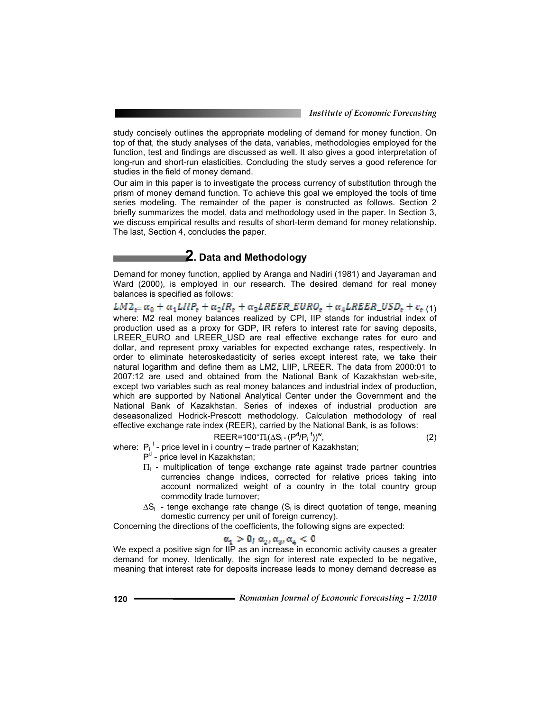study concisely outlines the appropriate modeling of demand for money function. On top of that, the study analyses of the data, variables, methodologies employed for the function, test and findings are discussed as well. It also gives a good interpretation of long-run and short-run elasticities. Concluding the study serves a good reference for studies in the field of money demand.

Our aim in this paper is to investigate the process currency of substitution through the prism of money demand function. To achieve this goal we employed the tools of time series modeling. The remainder of the paper is constructed as follows. Section 2 briefly summarizes the model, data and methodology used in the paper. In Section 3, we discuss empirical results and results of short-term demand for money relationship. The last, Section 4, concludes the paper.

# **2. Data and Methodology**

Demand for money function, applied by Aranga and Nadiri (1981) and Jayaraman and Ward (2000), is employed in our research. The desired demand for real money balances is specified as follows:

 $LM2_{z} = \alpha_0 + \alpha_1 L I I P_z + \alpha_2 I R_z + \alpha_3 L R E E R_E U R O_z + \alpha_4 L R E E R_L U S D_z + \varepsilon_t (1)$ where: M2 real money balances realized by CPI, IIP stands for industrial index of production used as a proxy for GDP, IR refers to interest rate for saving deposits, LREER\_EURO and LREER\_USD are real effective exchange rates for euro and dollar, and represent proxy variables for expected exchange rates, respectively. In order to eliminate heteroskedasticity of series except interest rate, we take their natural logarithm and define them as LM2, LIIP, LREER. The data from 2000:01 to 2007:12 are used and obtained from the National Bank of Kazakhstan web-site, except two variables such as real money balances and industrial index of production, which are supported by National Analytical Center under the Government and the National Bank of Kazakhstan. Series of indexes of industrial production are deseasonalized Hodrick-Prescott methodology. Calculation methodology of real effective exchange rate index (REER), carried by the National Bank, is as follows:

$$
RBER=100^{\ast}\Pi_{i}(\Delta S_{i} \cdot (P^{d}/P_{i}^{f}))^{w}, \qquad (2)
$$

where:  $P_i^f$ - price level in i country – trade partner of Kazakhstan;

- P<sup>d</sup> price level in Kazakhstan;
- $\Pi_i$  multiplication of tenge exchange rate against trade partner countries currencies change indices, corrected for relative prices taking into account normalized weight of a country in the total country group commodity trade turnover;
- $\Delta S_i$  tenge exchange rate change (S<sub>i</sub> is direct quotation of tenge, meaning domestic currency per unit of foreign currency).

Concerning the directions of the coefficients, the following signs are expected:

## $\alpha_1 > 0$ ;  $\alpha_2$ ,  $\alpha_3$ ,  $\alpha_4 < 0$

We expect a positive sign for IIP as an increase in economic activity causes a greater demand for money. Identically, the sign for interest rate expected to be negative, meaning that interest rate for deposits increase leads to money demand decrease as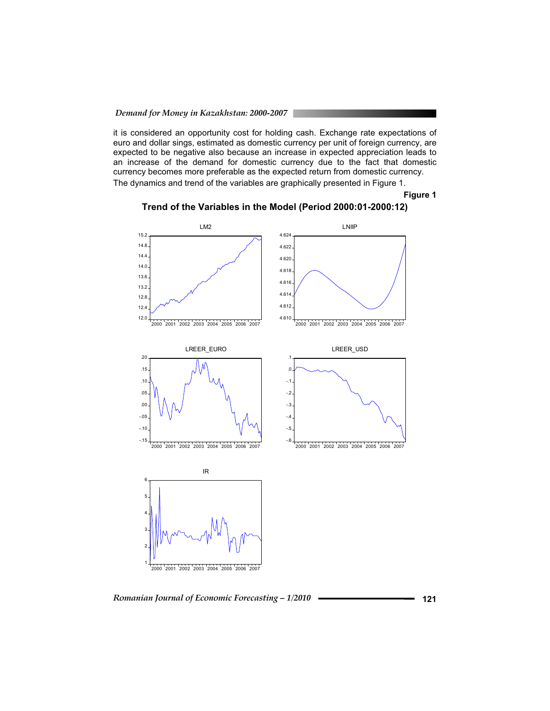it is considered an opportunity cost for holding cash. Exchange rate expectations of euro and dollar sings, estimated as domestic currency per unit of foreign currency, are expected to be negative also because an increase in expected appreciation leads to an increase of the demand for domestic currency due to the fact that domestic currency becomes more preferable as the expected return from domestic currency. The dynamics and trend of the variables are graphically presented in Figure 1.

**Figure 1 Trend of the Variables in the Model (Period 2000:01-2000:12)** 



*Romanian Journal of Economic Forecasting – 1/2010* **121**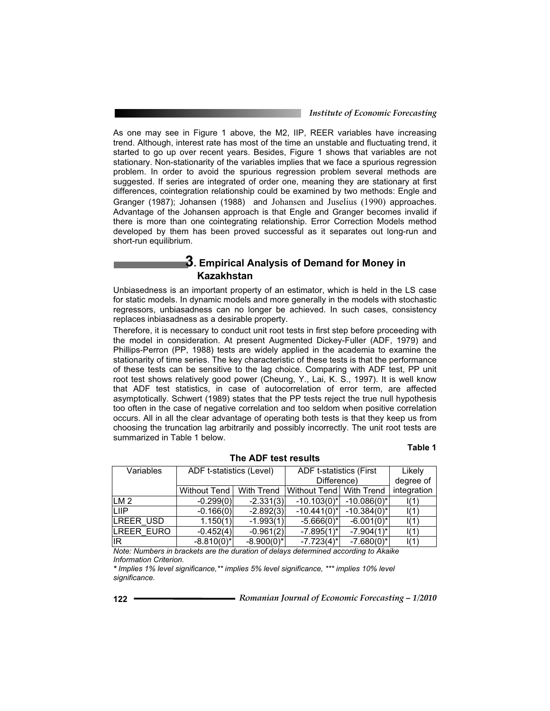*Institute of Economic Forecasting*

As one may see in Figure 1 above, the M2, IIP, REER variables have increasing trend. Although, interest rate has most of the time an unstable and fluctuating trend, it started to go up over recent years. Besides, Figure 1 shows that variables are not stationary. Non-stationarity of the variables implies that we face a spurious regression problem. In order to avoid the spurious regression problem several methods are suggested. If series are integrated of order one, meaning they are stationary at first differences, cointegration relationship could be examined by two methods: Engle and Granger (1987); Johansen (1988) and Johansen and Juselius (1990) approaches. Advantage of the Johansen approach is that Engle and Granger becomes invalid if there is more than one cointegrating relationship. Error Correction Models method developed by them has been proved successful as it separates out long-run and short-run equilibrium.

## **3. Empirical Analysis of Demand for Money in Kazakhstan**

Unbiasedness is an important property of an estimator, which is held in the LS case for static models. In dynamic models and more generally in the models with stochastic regressors, unbiasadness can no longer be achieved. In such cases, consistency replaces inbiasadness as a desirable property.

Therefore, it is necessary to conduct unit root tests in first step before proceeding with the model in consideration. At present Augmented Dickey-Fuller (ADF, 1979) and Phillips-Perron (PP, 1988) tests are widely applied in the academia to examine the stationarity of time series. The key characteristic of these tests is that the performance of these tests can be sensitive to the lag choice. Comparing with ADF test, PP unit root test shows relatively good power (Cheung, Y., Lai, K. S., 1997). It is well know that ADF test statistics, in case of autocorrelation of error term, are affected asymptotically. Schwert (1989) states that the PP tests reject the true null hypothesis too often in the case of negative correlation and too seldom when positive correlation occurs. All in all the clear advantage of operating both tests is that they keep us from choosing the truncation lag arbitrarily and possibly incorrectly. The unit root tests are summarized in Table 1 below.

#### **Table 1**

| Variables  | ADF t-statistics (Level) |                 | ADF t-statistics (First   |                 | Likely      |
|------------|--------------------------|-----------------|---------------------------|-----------------|-------------|
|            |                          |                 | Difference)               |                 | degree of   |
|            | Without Tend             | With Trend      | Without Tend   With Trend |                 | integration |
| ILM 2      | $-0.299(0)$              | $-2.331(3)$     | $-10.103(0)*$             | $-10.086(0)$ *  | I(1)        |
| LIIP       | $-0.166(0)$              | $-2.892(3)$     | $-10.441(0)*$             | $-10.384(0)*$   | I(1)        |
| LREER USD  | 1.150(1)                 | $-1.993(1)$     | $-5.666(0)^{*}$           | $-6.001(0)*$    | I(1)        |
| LREER EURO | $-0.452(4)$              | $-0.961(2)$     | $-7.895(1)^{*}$           | $-7.904(1)^{*}$ | $\vert(1)$  |
| IR         | $-8.810(0)*$             | $-8.900(0)^{*}$ | $-7.723(4)^{*}$           | $-7.680(0)*$    | I(1)        |

**The ADF test results** 

*Note: Numbers in brackets are the duration of delays determined according to Akaike Information Criterion.*

*\* Implies 1% level significance,\*\* implies 5% level significance, \*\*\* implies 10% level significance.*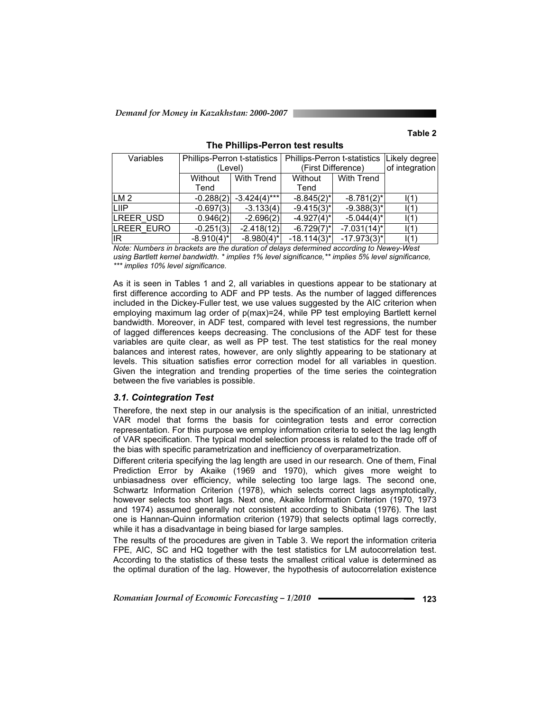#### **Table 2**

| Variables        | Phillips-Perron t-statistics |                   | <b>Phillips-Perron t-statistics</b> |                   | Likely degree  |
|------------------|------------------------------|-------------------|-------------------------------------|-------------------|----------------|
|                  | (Level)                      |                   | (First Difference)                  |                   | of integration |
|                  | Without                      | <b>With Trend</b> | Without                             | <b>With Trend</b> |                |
|                  | Tend                         |                   | Tend                                |                   |                |
| ILM <sub>2</sub> | $-0.288(2)$                  | $-3.424(4)***$    | $-8.845(2)$ *                       | $-8.781(2)^{*}$   | $\vert$ (1)    |
| LIIP             | $-0.697(3)$                  | $-3.133(4)$       | $-9.415(3)^{*}$                     | $-9.388(3)^{*}$   | 1(1)           |
| LREER USD        | 0.946(2)                     | $-2.696(2)$       | $-4.927(4)^{*}$                     | $-5.044(4)^{*}$   | $\vert$ (1)    |
| LREER EURO       | $-0.251(3)$                  | $-2.418(12)$      | $-6.729(7)$ *                       | $-7.031(14)^{*}$  | $\vert$ (1)    |
| lıR.             | $-8.910(4)^{*}$              | $-8.980(4)^{*}$   | $-18.114(3)^{*}$                    | $-17.973(3)^{*}$  | $\vert$ (1)    |

**The Phillips-Perron test results** 

*Note: Numbers in brackets are the duration of delays determined according to Newey-West using Bartlett kernel bandwidth. \* implies 1% level significance,\*\* implies 5% level significance, \*\*\* implies 10% level significance.*

As it is seen in Tables 1 and 2, all variables in questions appear to be stationary at first difference according to ADF and PP tests. As the number of lagged differences included in the Dickey-Fuller test, we use values suggested by the AIC criterion when employing maximum lag order of p(max)=24, while PP test employing Bartlett kernel bandwidth. Moreover, in ADF test, compared with level test regressions, the number of lagged differences keeps decreasing. The conclusions of the ADF test for these variables are quite clear, as well as PP test. The test statistics for the real money balances and interest rates, however, are only slightly appearing to be stationary at levels. This situation satisfies error correction model for all variables in question. Given the integration and trending properties of the time series the cointegration between the five variables is possible.

*3.1. Cointegration Test*  Therefore, the next step in our analysis is the specification of an initial, unrestricted VAR model that forms the basis for cointegration tests and error correction representation. For this purpose we employ information criteria to select the lag length of VAR specification. The typical model selection process is related to the trade off of the bias with specific parametrization and inefficiency of overparametrization.

Different criteria specifying the lag length are used in our research. One of them, Final Prediction Error by Akaike (1969 and 1970), which gives more weight to unbiasadness over efficiency, while selecting too large lags. The second one, Schwartz Information Criterion (1978), which selects correct lags asymptotically, however selects too short lags. Next one, Akaike Information Criterion (1970, 1973 and 1974) assumed generally not consistent according to Shibata (1976). The last one is Hannan-Quinn information criterion (1979) that selects optimal lags correctly, while it has a disadvantage in being biased for large samples.

The results of the procedures are given in Table 3. We report the information criteria FPE, AIC, SC and HQ together with the test statistics for LM autocorrelation test. According to the statistics of these tests the smallest critical value is determined as the optimal duration of the lag. However, the hypothesis of autocorrelation existence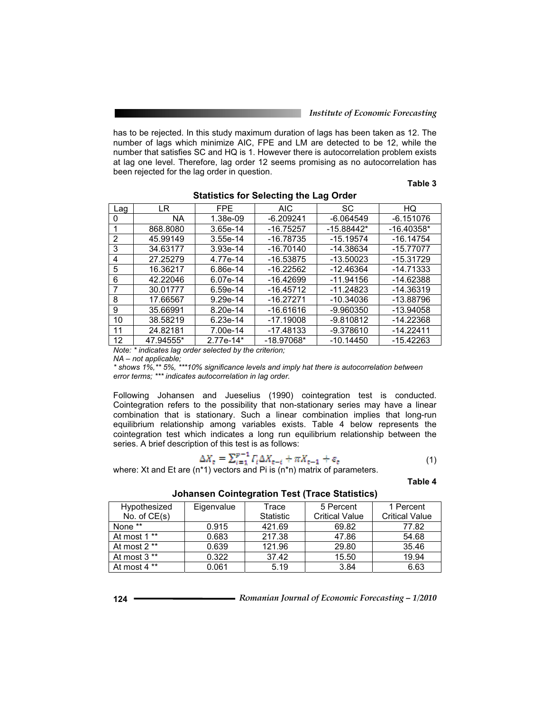*Institute of Economic Forecasting*

has to be rejected. In this study maximum duration of lags has been taken as 12. The number of lags which minimize AIC, FPE and LM are detected to be 12, while the number that satisfies SC and HQ is 1. However there is autocorrelation problem exists at lag one level. Therefore, lag order 12 seems promising as no autocorrelation has been rejected for the lag order in question.

#### **Table 3**

| Lag | LR        | FPE        | AIC          | <b>SC</b>    | HQ           |
|-----|-----------|------------|--------------|--------------|--------------|
|     | ΝA        | 1.38e-09   | $-6.209241$  | $-6.064549$  | $-6.151076$  |
|     | 868,8080  | 3.65e-14   | $-16.75257$  | $-15.88442*$ | $-16.40358*$ |
| 2   | 45.99149  | $3.55e-14$ | $-16.78735$  | $-15.19574$  | $-16.14754$  |
| 3   | 34.63177  | $3.93e-14$ | $-16.70140$  | -14.38634    | $-15.77077$  |
| 4   | 27.25279  | 4.77e-14   | -16.53875    | $-13.50023$  | $-15.31729$  |
| 5   | 16.36217  | 6.86e-14   | $-16.22562$  | -12.46364    | $-14.71333$  |
| 6   | 42.22046  | 6.07e-14   | $-16.42699$  | $-11.94156$  | $-14.62388$  |
|     | 30.01777  | 6.59e-14   | $-16.45712$  | $-11.24823$  | -14.36319    |
| 8   | 17.66567  | 9.29e-14   | $-16.27271$  | $-10.34036$  | -13.88796    |
| 9   | 35.66991  | 8.20e-14   | -16.61616    | -9.960350    | -13.94058    |
| 10  | 38.58219  | 6.23e-14   | $-17.19008$  | -9.810812    | -14.22368    |
| 11  | 24.82181  | 7.00e-14   | -17.48133    | $-9.378610$  | $-14.22411$  |
| 12  | 47.94555* | 2.77e-14*  | $-18.97068*$ | $-10.14450$  | $-15.42263$  |

#### **Statistics for Selecting the Lag Order**

*Note: \* indicates lag order selected by the criterion;* 

*NA – not applicable;* 

*\* shows 1%,\*\* 5%, \*\*\*10% significance levels and imply hat there is autocorrelation between error terms; \*\*\* indicates autocorrelation in lag order.*

Following Johansen and Jueselius (1990) cointegration test is conducted. Cointegration refers to the possibility that non-stationary series may have a linear combination that is stationary. Such a linear combination implies that long-run equilibrium relationship among variables exists. Table 4 below represents the cointegration test which indicates a long run equilibrium relationship between the series. A brief description of this test is as follows:

$$
\Delta X_{\rm c} = \sum_{i=1}^{p-1} \Gamma_i \Delta X_{\rm c-i} + \pi X_{\rm c-1} + \varepsilon_{\rm c} \tag{1}
$$

where: Xt and Et are (n<sup>\*1</sup>) vectors and Pi is (n<sup>\*</sup>n) matrix of parameters.

**Table 4**

**Johansen Cointegration Test (Trace Statistics)** 

| Hypothesized   | Eigenvalue | Trace            | 5 Percent             | 1 Percent             |
|----------------|------------|------------------|-----------------------|-----------------------|
| No. of $CE(s)$ |            | <b>Statistic</b> | <b>Critical Value</b> | <b>Critical Value</b> |
| None **        | 0.915      | 421.69           | 69.82                 | 77.82                 |
| At most 1 **   | 0.683      | 217.38           | 47.86                 | 54.68                 |
| At most 2 **   | 0.639      | 121.96           | 29.80                 | 35.46                 |
| At most 3 **   | 0.322      | 37.42            | 15.50                 | 19.94                 |
| At most 4 **   | 0.061      | 5.19             | 3.84                  | 6.63                  |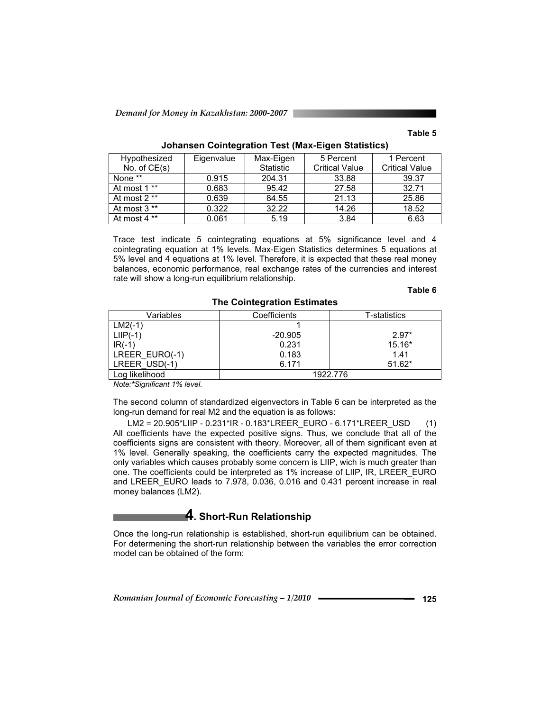#### **Table 5**

| Hypothesized   | Eigenvalue | Max-Eigen | 5 Percent             | 1 Percent             |
|----------------|------------|-----------|-----------------------|-----------------------|
| No. of $CE(s)$ |            | Statistic | <b>Critical Value</b> | <b>Critical Value</b> |
| None **        | 0.915      | 204.31    | 33.88                 | 39.37                 |
| At most 1 **   | 0.683      | 95.42     | 27.58                 | 32.71                 |
| At most 2 **   | 0.639      | 84.55     | 21.13                 | 25.86                 |
| At most 3 **   | 0.322      | 32.22     | 14.26                 | 18.52                 |
| At most 4 **   | 0.061      | 5.19      | 3.84                  | 6.63                  |

#### **Johansen Cointegration Test (Max-Eigen Statistics)**

Trace test indicate 5 cointegrating equations at 5% significance level and 4 cointegrating equation at 1% levels. Max-Eigen Statistics determines 5 equations at 5% level and 4 equations at 1% level. Therefore, it is expected that these real money balances, economic performance, real exchange rates of the currencies and interest rate will show a long-run equilibrium relationship.

#### **Table 6**

| Variables      | Coefficients | T-statistics |
|----------------|--------------|--------------|
| $LM2(-1)$      |              |              |
| $LHP(-1)$      | $-20.905$    | $2.97*$      |
| $IR(-1)$       | 0.231        | $15.16*$     |
| LREER_EURO(-1) | 0.183        | 1.41         |
| LREER USD(-1)  | 6.171        | $51.62*$     |
| Log likelihood |              | 1922.776     |

#### **The Cointegration Estimates**

*Note:\*Significant 1% level.*

The second column of standardized eigenvectors in Table 6 can be interpreted as the long-run demand for real M2 and the equation is as follows:

 LM2 = 20.905\*LIIP - 0.231\*IR - 0.183\*LREER\_EURO - 6.171\*LREER\_USD (1) All coefficients have the expected positive signs. Thus, we conclude that all of the coefficients signs are consistent with theory. Moreover, all of them significant even at 1% level. Generally speaking, the coefficients carry the expected magnitudes. The only variables which causes probably some concern is LIIP, wich is much greater than one. The coefficients could be interpreted as 1% increase of LIIP, IR, LREER\_EURO and LREER\_EURO leads to 7.978, 0.036, 0.016 and 0.431 percent increase in real money balances (LM2).

## **4. Short-Run Relationship**

Once the long-run relationship is established, short-run equilibrium can be obtained. For determening the short-run relationship between the variables the error correction model can be obtained of the form: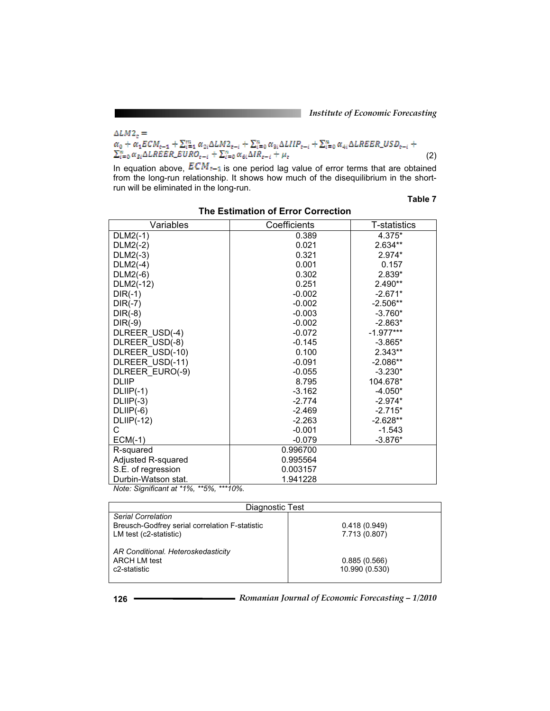*Institute of Economic Forecasting*

$$
\Delta LM_{2s} = \alpha_0 + \alpha_1 ECM_{s-1} + \sum_{i=1}^{m} \alpha_{2i} \Delta LM_{2s-i} + \sum_{i=0}^{n} \alpha_{3i} \Delta LIP_{s-i} + \sum_{i=0}^{n} \alpha_{4i} \Delta LREER\_USD_{s-i} + \sum_{i=0}^{n} \alpha_{si} \Delta LREER\_USD_{s-i}
$$
\n
$$
(2)
$$

In equation above,  $ECM = 1$  is one period lag value of error terms that are obtained from the long-run relationship. It shows how much of the disequilibrium in the shortrun will be eliminated in the long-run.

### **Table 7**

| 4.375*<br>0.389<br>$DLM2(-1)$<br>$2.634**$<br>$DLM2(-2)$<br>0.021<br>$DLM2(-3)$<br>0.321<br>$2.974*$<br>$DLM2(-4)$<br>0.001<br>0.157<br>$DLM2(-6)$<br>0.302<br>2.839*<br>2.490**<br>0.251<br>DLM2(-12)<br>$DIR(-1)$<br>$-0.002$<br>$-2.671*$<br>$-0.002$<br>$-2.506**$<br>$DIR(-7)$<br>$DIR(-8)$<br>$-0.003$<br>$-3.760*$<br>$DIR(-9)$<br>$-2.863*$<br>$-0.002$<br>DLREER USD(-4)<br>$-1.977***$<br>$-0.072$<br>DLREER_USD(-8)<br>$-0.145$<br>$-3.865*$<br>0.100<br>2.343**<br>DLREER_USD(-10)<br>DLREER USD(-11)<br>$-0.091$<br>$-2.086**$<br>DLREER EURO(-9)<br>$-0.055$<br>$-3.230*$<br><b>DLIIP</b><br>8.795<br>104.678*<br>$DLIP(-1)$<br>$-3.162$<br>$-4.050*$<br>$DLIP(-3)$<br>$-2.774$<br>$-2.974*$<br>$DLIP(-6)$<br>$-2.715*$<br>$-2.469$<br>$DLIP(-12)$<br>$-2.263$<br>$-2.628**$<br>С<br>$-0.001$<br>$-1.543$<br>$ECM(-1)$<br>$-3.876*$<br>$-0.079$<br>0.996700<br>R-squared<br>0.995564<br>Adjusted R-squared<br>S.E. of regression<br>0.003157 | Variables           | Coefficients | <b>T-statistics</b> |
|------------------------------------------------------------------------------------------------------------------------------------------------------------------------------------------------------------------------------------------------------------------------------------------------------------------------------------------------------------------------------------------------------------------------------------------------------------------------------------------------------------------------------------------------------------------------------------------------------------------------------------------------------------------------------------------------------------------------------------------------------------------------------------------------------------------------------------------------------------------------------------------------------------------------------------------------------------|---------------------|--------------|---------------------|
|                                                                                                                                                                                                                                                                                                                                                                                                                                                                                                                                                                                                                                                                                                                                                                                                                                                                                                                                                            |                     |              |                     |
|                                                                                                                                                                                                                                                                                                                                                                                                                                                                                                                                                                                                                                                                                                                                                                                                                                                                                                                                                            |                     |              |                     |
|                                                                                                                                                                                                                                                                                                                                                                                                                                                                                                                                                                                                                                                                                                                                                                                                                                                                                                                                                            |                     |              |                     |
|                                                                                                                                                                                                                                                                                                                                                                                                                                                                                                                                                                                                                                                                                                                                                                                                                                                                                                                                                            |                     |              |                     |
|                                                                                                                                                                                                                                                                                                                                                                                                                                                                                                                                                                                                                                                                                                                                                                                                                                                                                                                                                            |                     |              |                     |
|                                                                                                                                                                                                                                                                                                                                                                                                                                                                                                                                                                                                                                                                                                                                                                                                                                                                                                                                                            |                     |              |                     |
|                                                                                                                                                                                                                                                                                                                                                                                                                                                                                                                                                                                                                                                                                                                                                                                                                                                                                                                                                            |                     |              |                     |
|                                                                                                                                                                                                                                                                                                                                                                                                                                                                                                                                                                                                                                                                                                                                                                                                                                                                                                                                                            |                     |              |                     |
|                                                                                                                                                                                                                                                                                                                                                                                                                                                                                                                                                                                                                                                                                                                                                                                                                                                                                                                                                            |                     |              |                     |
|                                                                                                                                                                                                                                                                                                                                                                                                                                                                                                                                                                                                                                                                                                                                                                                                                                                                                                                                                            |                     |              |                     |
|                                                                                                                                                                                                                                                                                                                                                                                                                                                                                                                                                                                                                                                                                                                                                                                                                                                                                                                                                            |                     |              |                     |
|                                                                                                                                                                                                                                                                                                                                                                                                                                                                                                                                                                                                                                                                                                                                                                                                                                                                                                                                                            |                     |              |                     |
|                                                                                                                                                                                                                                                                                                                                                                                                                                                                                                                                                                                                                                                                                                                                                                                                                                                                                                                                                            |                     |              |                     |
|                                                                                                                                                                                                                                                                                                                                                                                                                                                                                                                                                                                                                                                                                                                                                                                                                                                                                                                                                            |                     |              |                     |
|                                                                                                                                                                                                                                                                                                                                                                                                                                                                                                                                                                                                                                                                                                                                                                                                                                                                                                                                                            |                     |              |                     |
|                                                                                                                                                                                                                                                                                                                                                                                                                                                                                                                                                                                                                                                                                                                                                                                                                                                                                                                                                            |                     |              |                     |
|                                                                                                                                                                                                                                                                                                                                                                                                                                                                                                                                                                                                                                                                                                                                                                                                                                                                                                                                                            |                     |              |                     |
|                                                                                                                                                                                                                                                                                                                                                                                                                                                                                                                                                                                                                                                                                                                                                                                                                                                                                                                                                            |                     |              |                     |
|                                                                                                                                                                                                                                                                                                                                                                                                                                                                                                                                                                                                                                                                                                                                                                                                                                                                                                                                                            |                     |              |                     |
|                                                                                                                                                                                                                                                                                                                                                                                                                                                                                                                                                                                                                                                                                                                                                                                                                                                                                                                                                            |                     |              |                     |
|                                                                                                                                                                                                                                                                                                                                                                                                                                                                                                                                                                                                                                                                                                                                                                                                                                                                                                                                                            |                     |              |                     |
|                                                                                                                                                                                                                                                                                                                                                                                                                                                                                                                                                                                                                                                                                                                                                                                                                                                                                                                                                            |                     |              |                     |
|                                                                                                                                                                                                                                                                                                                                                                                                                                                                                                                                                                                                                                                                                                                                                                                                                                                                                                                                                            |                     |              |                     |
|                                                                                                                                                                                                                                                                                                                                                                                                                                                                                                                                                                                                                                                                                                                                                                                                                                                                                                                                                            |                     |              |                     |
|                                                                                                                                                                                                                                                                                                                                                                                                                                                                                                                                                                                                                                                                                                                                                                                                                                                                                                                                                            |                     |              |                     |
|                                                                                                                                                                                                                                                                                                                                                                                                                                                                                                                                                                                                                                                                                                                                                                                                                                                                                                                                                            | Durbin-Watson stat. | 1.941228     |                     |

**The Estimation of Error Correction** 

*Note: Significant at \*1%, \*\*5%, \*\*\*10%.*

| Diagnostic Test                                |                |  |  |  |
|------------------------------------------------|----------------|--|--|--|
| Serial Correlation                             |                |  |  |  |
| Breusch-Godfrey serial correlation F-statistic | 0.418(0.949)   |  |  |  |
| LM test (c2-statistic)                         | 7.713 (0.807)  |  |  |  |
| AR Conditional. Heteroskedasticity             |                |  |  |  |
| <b>ARCH LM test</b>                            | 0.885(0.566)   |  |  |  |
| c2-statistic                                   | 10.990 (0.530) |  |  |  |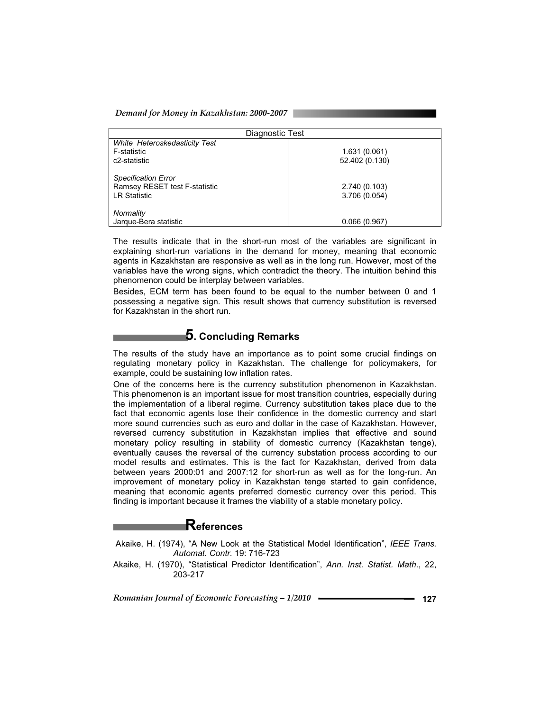| Diagnostic Test                                                                    |                                 |  |  |  |
|------------------------------------------------------------------------------------|---------------------------------|--|--|--|
| White Heteroskedasticity Test<br>F-statistic<br>c2-statistic                       | 1.631 (0.061)<br>52.402 (0.130) |  |  |  |
| <b>Specification Error</b><br>Ramsey RESET test F-statistic<br><b>LR Statistic</b> | 2.740 (0.103)<br>3.706(0.054)   |  |  |  |
| Normality<br>Jarque-Bera statistic                                                 | 0.066(0.967)                    |  |  |  |

The results indicate that in the short-run most of the variables are significant in explaining short-run variations in the demand for money, meaning that economic agents in Kazakhstan are responsive as well as in the long run. However, most of the variables have the wrong signs, which contradict the theory. The intuition behind this phenomenon could be interplay between variables.

Besides, ECM term has been found to be equal to the number between 0 and 1 possessing a negative sign. This result shows that currency substitution is reversed for Kazakhstan in the short run.

# **5. Concluding Remarks**

The results of the study have an importance as to point some crucial findings on regulating monetary policy in Kazakhstan. The challenge for policymakers, for example, could be sustaining low inflation rates.

One of the concerns here is the currency substitution phenomenon in Kazakhstan. This phenomenon is an important issue for most transition countries, especially during the implementation of a liberal regime. Currency substitution takes place due to the fact that economic agents lose their confidence in the domestic currency and start more sound currencies such as euro and dollar in the case of Kazakhstan. However, reversed currency substitution in Kazakhstan implies that effective and sound monetary policy resulting in stability of domestic currency (Kazakhstan tenge), eventually causes the reversal of the currency substation process according to our model results and estimates. This is the fact for Kazakhstan, derived from data between years 2000:01 and 2007:12 for short-run as well as for the long-run. An improvement of monetary policy in Kazakhstan tenge started to gain confidence, meaning that economic agents preferred domestic currency over this period. This finding is important because it frames the viability of a stable monetary policy.

## **References**

- Akaike, H. (1974), "A New Look at the Statistical Model Identification", *IEEE Trans. Automat. Contr.* 19: 716-723
- Akaike, H. (1970), "Statistical Predictor Identification", *Ann. Inst. Statist. Math*., 22, 203-217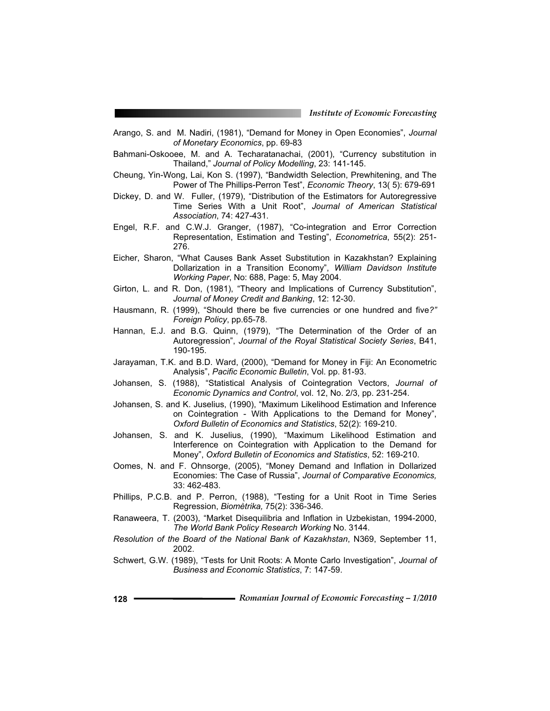- Arango, S. and M. Nadiri, (1981), "Demand for Money in Open Economies", *Journal of Monetary Economics*, pp. 69-83
- Bahmani-Oskooee, M. and A. Techaratanachai, (2001), "Currency substitution in Thailand," *Journal of Policy Modelling*, 23: 141-145.
- Cheung, Yin-Wong, Lai, Kon S. (1997), "Bandwidth Selection, Prewhitening, and The Power of The Phillips-Perron Test", *Economic Theory*, 13( 5): 679-691
- Dickey, D. and W. Fuller, (1979), "Distribution of the Estimators for Autoregressive Time Series With a Unit Root", *Journal of American Statistical Association*, 74: 427-431.
- Engel, R.F. and C.W.J. Granger, (1987), "Co-integration and Error Correction Representation, Estimation and Testing", *Econometrica*, 55(2): 251- 276.
- Eicher, Sharon, "What Causes Bank Asset Substitution in Kazakhstan? Explaining Dollarization in a Transition Economy", *William Davidson Institute Working Paper*, No: 688, Page: 5, May 2004.
- Girton, L. and R. Don, (1981), "Theory and Implications of Currency Substitution", *Journal of Money Credit and Banking*, 12: 12-30.
- Hausmann, R. (1999), "Should there be five currencies or one hundred and five*?" Foreign Policy*, pp.65-78.
- Hannan, E.J. and B.G. Quinn, (1979), "The Determination of the Order of an Autoregression", *Journal of the Royal Statistical Society Series*, B41, 190-195.
- Jarayaman, T.K. and B.D. Ward, (2000), "Demand for Money in Fiji: An Econometric Analysis", *Pacific Economic Bulletin*, Vol. pp. 81-93.
- Johansen, S. (1988), "Statistical Analysis of Cointegration Vectors, *Journal of Economic Dynamics and Control*, vol. 12, No. 2/3, pp. 231-254.
- Johansen, S. and K. Juselius, (1990), "Maximum Likelihood Estimation and Inference on Cointegration - With Applications to the Demand for Money", *Oxford Bulletin of Economics and Statistics*, 52(2): 169-210.
- Johansen, S. and K. Juselius, (1990), "Maximum Likelihood Estimation and Interference on Cointegration with Application to the Demand for Money", *Oxford Bulletin of Economics and Statistics*, 52: 169-210.
- Oomes, N. and F. Ohnsorge, (2005), "Money Demand and Inflation in Dollarized Economies: The Case of Russia", *Journal of Comparative Economics,* 33: 462-483.
- Phillips, P.C.B. and P. Perron, (1988), "Testing for a Unit Root in Time Series Regression, *Biomètrika,* 75(2): 336-346.
- Ranaweera, T. (2003), "Market Disequilibria and Inflation in Uzbekistan, 1994-2000, *The World Bank Policy Research Working* No. 3144.
- *Resolution of the Board of the National Bank of Kazakhstan*, N369, September 11, 2002.
- Schwert, G.W. (1989), "Tests for Unit Roots: A Monte Carlo Investigation", *Journal of Business and Economic Statistics*, 7: 147-59.
- **128** *Romanian Journal of Economic Forecasting 1/2010*